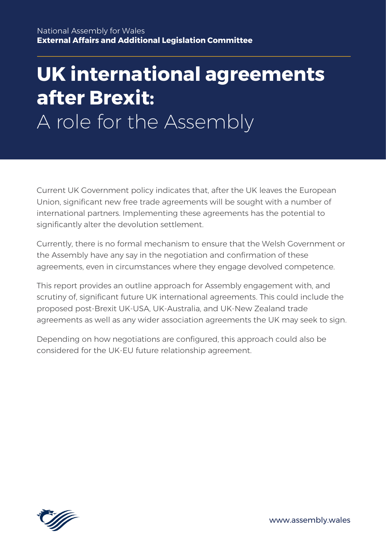# **UK international agreements after Brexit:** A role for the Assembly

Current UK Government policy indicates that, after the UK leaves the European Union, significant new free trade agreements will be sought with a number of international partners. Implementing these agreements has the potential to significantly alter the devolution settlement.

Currently, there is no formal mechanism to ensure that the Welsh Government or the Assembly have any say in the negotiation and confirmation of these agreements, even in circumstances where they engage devolved competence.

This report provides an outline approach for Assembly engagement with, and scrutiny of, significant future UK international agreements. This could include the proposed post-Brexit UK-USA, UK-Australia, and UK-New Zealand trade agreements as well as any wider association agreements the UK may seek to sign.

Depending on how negotiations are configured, this approach could also be considered for the UK-EU future relationship agreement.

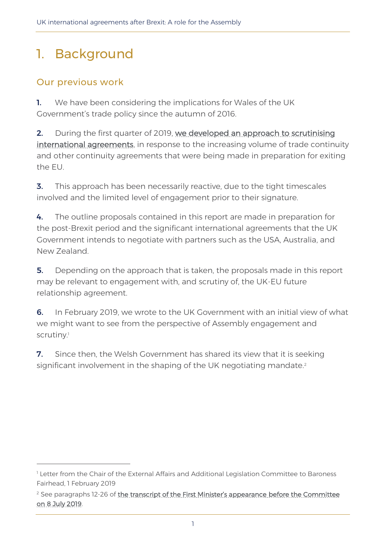# 1. Background

### Our previous work

1. We have been considering the implications for Wales of the UK Government's trade policy since the autumn of 2016.

2. During the first quarter of 2019, we developed an approach to scrutinising [international agreements,](http://senedd.assembly.wales/mgIssueHistoryHome.aspx?IId=25276&Opt=0) in response to the increasing volume of trade continuity and other continuity agreements that were being made in preparation for exiting the EU.

**3.** This approach has been necessarily reactive, due to the tight timescales involved and the limited level of engagement prior to their signature.

4. The outline proposals contained in this report are made in preparation for the post-Brexit period and the significant international agreements that the UK Government intends to negotiate with partners such as the USA, Australia, and New Zealand.

**5.** Depending on the approach that is taken, the proposals made in this report may be relevant to engagement with, and scrutiny of, the UK-EU future relationship agreement.

6. In February 2019, we wrote to the UK Government with an initial view of what we might want to see from the perspective of Assembly engagement and scrutiny.<sup>1</sup>

**7.** Since then, the Welsh Government has shared its view that it is seeking significant involvement in the shaping of the UK negotiating mandate.<sup>2</sup>

<sup>&</sup>lt;sup>1</sup> Letter from the Chair of the External Affairs and Additional Legislation Committee to Baroness Fairhead, 1 February 2019

 $2$  See paragraphs 12-26 of [the transcript of the First Minister's appearance](http://record.assembly.wales/Committee/5472) before the Committee [on 8 July 2019.](http://record.assembly.wales/Committee/5472)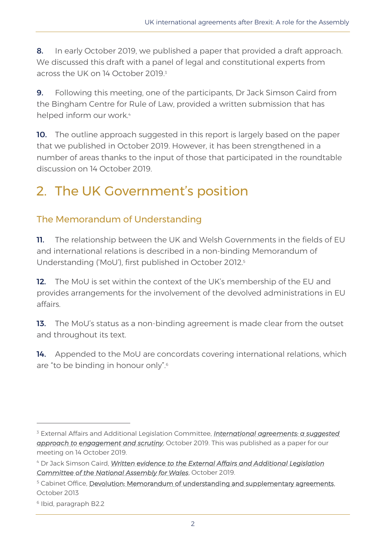8. In early October 2019, we published a paper that provided a draft approach. We discussed this draft with a panel of legal and constitutional experts from across the UK on 14 October 2019.<sup>3</sup>

**9.** Following this meeting, one of the participants, Dr Jack Simson Caird from the Bingham Centre for Rule of Law, provided a written submission that has helped inform our work.<sup>4</sup>

**10.** The outline approach suggested in this report is largely based on the paper that we published in October 2019. However, it has been strengthened in a number of areas thanks to the input of those that participated in the roundtable discussion on 14 October 2019.

# 2. The UK Government's position

### The Memorandum of Understanding

11. The relationship between the UK and Welsh Governments in the fields of EU and international relations is described in a non-binding Memorandum of Understanding ('MoU'), first published in October 2012. 5

12. The MoU is set within the context of the UK's membership of the EU and provides arrangements for the involvement of the devolved administrations in EU affairs.

13. The MoU's status as a non-binding agreement is made clear from the outset and throughout its text.

14. Appended to the MoU are concordats covering international relations, which are "to be binding in honour only". 6

<sup>3</sup> External Affairs and Additional Legislation Committee, *[International agreements: a suggested](http://senedd.assembly.wales/documents/s94507/International%20agreements%20-%20a%20suggested%20approach%20to%20engagement%20and%20scrutiny.pdf)  [approach to engagement and scrutiny](http://senedd.assembly.wales/documents/s94507/International%20agreements%20-%20a%20suggested%20approach%20to%20engagement%20and%20scrutiny.pdf)*, October 2019. This was published as a paper for our meeting on 14 October 2019.

<sup>4</sup> Dr Jack Simson Caird, *[Written evidence to the External Affairs and Additional Legislation](http://senedd.assembly.wales/documents/s96330/Written%20evidence%20provided%20by%20Dr%20Jack%20Simson%20Caird.pdf)  [Committee of the National Assembly for Wales](http://senedd.assembly.wales/documents/s96330/Written%20evidence%20provided%20by%20Dr%20Jack%20Simson%20Caird.pdf)*, October 2019.

<sup>&</sup>lt;sup>5</sup> Cabinet Office, [Devolution: Memorandum of understanding and supplementary agreements,](https://assets.publishing.service.gov.uk/government/uploads/system/uploads/attachment_data/file/316157/MoU_between_the_UK_and_the_Devolved_Administrations.pdf) October 2013

<sup>6</sup> Ibid, paragraph B2.2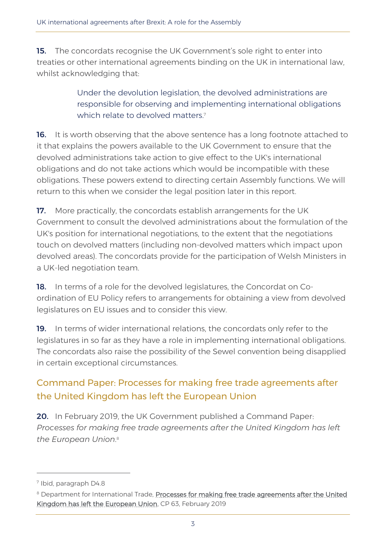**15.** The concordats recognise the UK Government's sole right to enter into treaties or other international agreements binding on the UK in international law, whilst acknowledging that:

> Under the devolution legislation, the devolved administrations are responsible for observing and implementing international obligations which relate to devolved matters. 7

16. It is worth observing that the above sentence has a long footnote attached to it that explains the powers available to the UK Government to ensure that the devolved administrations take action to give effect to the UK's international obligations and do not take actions which would be incompatible with these obligations. These powers extend to directing certain Assembly functions. We will return to this when we consider the legal position later in this report.

17. More practically, the concordats establish arrangements for the UK Government to consult the devolved administrations about the formulation of the UK's position for international negotiations, to the extent that the negotiations touch on devolved matters (including non-devolved matters which impact upon devolved areas). The concordats provide for the participation of Welsh Ministers in a UK-led negotiation team.

18. In terms of a role for the devolved legislatures, the Concordat on Coordination of EU Policy refers to arrangements for obtaining a view from devolved legislatures on EU issues and to consider this view.

19. In terms of wider international relations, the concordats only refer to the legislatures in so far as they have a role in implementing international obligations. The concordats also raise the possibility of the Sewel convention being disapplied in certain exceptional circumstances.

### Command Paper: Processes for making free trade agreements after the United Kingdom has left the European Union

20. In February 2019, the UK Government published a Command Paper: *Processes for making free trade agreements after the United Kingdom has left the European Union*. 8

<sup>7</sup> Ibid, paragraph D4.8

<sup>8</sup> Department for International Trade, Processes for making free trade agreements after the United [Kingdom has left the European Union,](https://assets.publishing.service.gov.uk/government/uploads/system/uploads/attachment_data/file/782176/command-paper-scrutiny-transparency-27012019.pdf) CP 63, February 2019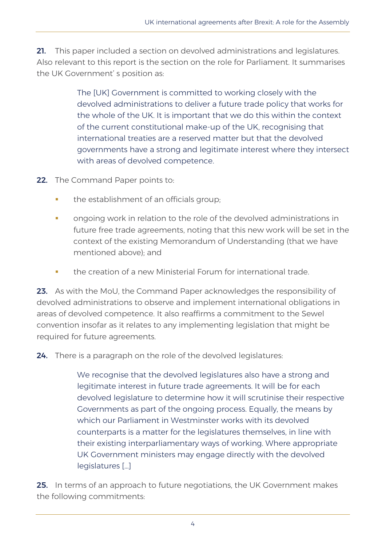21. This paper included a section on devolved administrations and legislatures. Also relevant to this report is the section on the role for Parliament. It summarises the UK Government' s position as:

> The [UK] Government is committed to working closely with the devolved administrations to deliver a future trade policy that works for the whole of the UK. It is important that we do this within the context of the current constitutional make-up of the UK, recognising that international treaties are a reserved matter but that the devolved governments have a strong and legitimate interest where they intersect with areas of devolved competence.

- 22. The Command Paper points to:
	- the establishment of an officials group;
	- ongoing work in relation to the role of the devolved administrations in future free trade agreements, noting that this new work will be set in the context of the existing Memorandum of Understanding (that we have mentioned above); and
	- the creation of a new Ministerial Forum for international trade.

23. As with the MoU, the Command Paper acknowledges the responsibility of devolved administrations to observe and implement international obligations in areas of devolved competence. It also reaffirms a commitment to the Sewel convention insofar as it relates to any implementing legislation that might be required for future agreements.

24. There is a paragraph on the role of the devolved legislatures:

We recognise that the devolved legislatures also have a strong and legitimate interest in future trade agreements. It will be for each devolved legislature to determine how it will scrutinise their respective Governments as part of the ongoing process. Equally, the means by which our Parliament in Westminster works with its devolved counterparts is a matter for the legislatures themselves, in line with their existing interparliamentary ways of working. Where appropriate UK Government ministers may engage directly with the devolved legislatures […]

25. In terms of an approach to future negotiations, the UK Government makes the following commitments: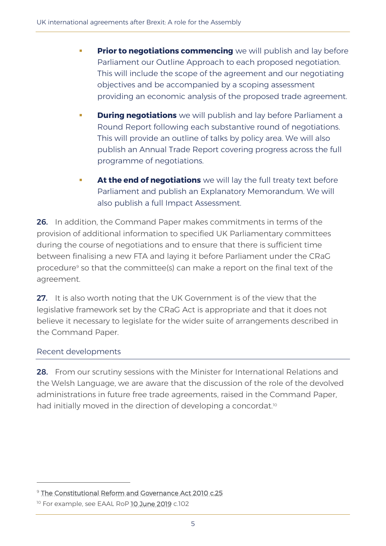- **Prior to negotiations commencing** we will publish and lay before Parliament our Outline Approach to each proposed negotiation. This will include the scope of the agreement and our negotiating objectives and be accompanied by a scoping assessment providing an economic analysis of the proposed trade agreement.
- **During negotiations** we will publish and lay before Parliament a Round Report following each substantive round of negotiations. This will provide an outline of talks by policy area. We will also publish an Annual Trade Report covering progress across the full programme of negotiations.
- **EXTE:** At the end of negotiations we will lay the full treaty text before Parliament and publish an Explanatory Memorandum. We will also publish a full Impact Assessment.

26. In addition, the Command Paper makes commitments in terms of the provision of additional information to specified UK Parliamentary committees during the course of negotiations and to ensure that there is sufficient time between finalising a new FTA and laying it before Parliament under the CRaG procedure<sup>9</sup> so that the committee(s) can make a report on the final text of the agreement.

27. It is also worth noting that the UK Government is of the view that the legislative framework set by the CRaG Act is appropriate and that it does not believe it necessary to legislate for the wider suite of arrangements described in the Command Paper.

#### Recent developments

28. From our scrutiny sessions with the Minister for International Relations and the Welsh Language, we are aware that the discussion of the role of the devolved administrations in future free trade agreements, raised in the Command Paper, had initially moved in the direction of developing a concordat.<sup>10</sup>

<sup>&</sup>lt;sup>9</sup> [The Constitutional Reform and Governance Act 2010 c.25](https://www.legislation.gov.uk/ukpga/2010/25/contents)

<sup>&</sup>lt;sup>10</sup> For example, see EAAL RoP [10 June 2019](https://record.assembly.wales/Committee/5467) c.102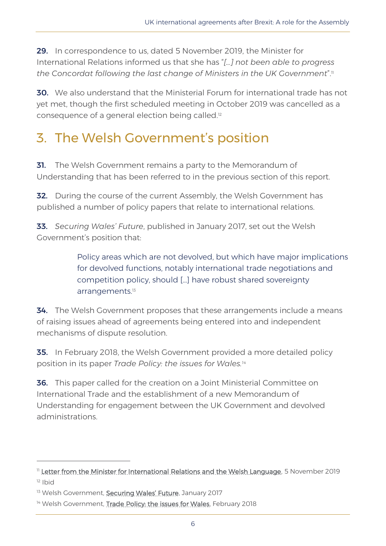29. In correspondence to us, dated 5 November 2019, the Minister for International Relations informed us that she has "*[…] not been able to progress the Concordat following the last change of Ministers in the UK Government*".<sup>11</sup>

30. We also understand that the Ministerial Forum for international trade has not yet met, though the first scheduled meeting in October 2019 was cancelled as a consequence of a general election being called.<sup>12</sup>

# 3. The Welsh Government's position

**31.** The Welsh Government remains a party to the Memorandum of Understanding that has been referred to in the previous section of this report.

**32.** During the course of the current Assembly, the Welsh Government has published a number of policy papers that relate to international relations.

33. *Securing Wales' Future*, published in January 2017, set out the Welsh Government's position that:

> Policy areas which are not devolved, but which have major implications for devolved functions, notably international trade negotiations and competition policy, should […] have robust shared sovereignty arrangements.<sup>13</sup>

34. The Welsh Government proposes that these arrangements include a means of raising issues ahead of agreements being entered into and independent mechanisms of dispute resolution.

**35.** In February 2018, the Welsh Government provided a more detailed policy position in its paper *Trade Policy: the issues for Wales.<sup>14</sup>*

36. This paper called for the creation on a Joint Ministerial Committee on International Trade and the establishment of a new Memorandum of Understanding for engagement between the UK Government and devolved administrations.

<sup>&</sup>lt;sup>11</sup> [Letter from the Minister for International Relations and the Welsh Language,](http://senedd.assembly.wales/documents/s95488/Correspondence%20from%20the%20Minister%20for%20International%20Relations%20and%20the%20Welsh%20Language%20to%20the%20Chair%20reg.pdf) 5 November 2019  $12$  Ibid

<sup>&</sup>lt;sup>13</sup> Welsh Government, **[Securing Wales' Future](https://gov.wales/sites/default/files/publications/2018-10/white-paper-securing-wales-future.pdf)**, January 2017

<sup>&</sup>lt;sup>14</sup> Welsh Government, [Trade Policy: the issues for Wales,](https://gov.wales/sites/default/files/publications/2018-10/trade-policy-the-issues-for-wales_0.pdf) February 2018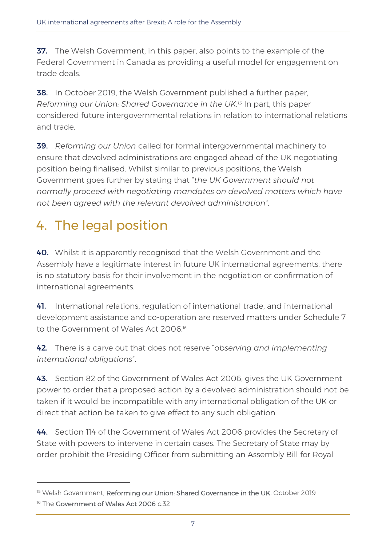**37.** The Welsh Government, in this paper, also points to the example of the Federal Government in Canada as providing a useful model for engagement on trade deals.

**38.** In October 2019, the Welsh Government published a further paper, *Reforming our Union: Shared Governance in the UK.<sup>15</sup>* In part, this paper considered future intergovernmental relations in relation to international relations and trade.

39. *Reforming our Union* called for formal intergovernmental machinery to ensure that devolved administrations are engaged ahead of the UK negotiating position being finalised. Whilst similar to previous positions, the Welsh Government goes further by stating that "*the UK Government should not normally proceed with negotiating mandates on devolved matters which have not been agreed with the relevant devolved administration"*.

# 4. The legal position

40. Whilst it is apparently recognised that the Welsh Government and the Assembly have a legitimate interest in future UK international agreements, there is no statutory basis for their involvement in the negotiation or confirmation of international agreements.

41. International relations, regulation of international trade, and international development assistance and co-operation are reserved matters under Schedule 7 to the Government of Wales Act 2006.<sup>16</sup>

42. There is a carve out that does not reserve "*observing and implementing international obligations*".

43. Section 82 of the Government of Wales Act 2006, gives the UK Government power to order that a proposed action by a devolved administration should not be taken if it would be incompatible with any international obligation of the UK or direct that action be taken to give effect to any such obligation.

44. Section 114 of the Government of Wales Act 2006 provides the Secretary of State with powers to intervene in certain cases. The Secretary of State may by order prohibit the Presiding Officer from submitting an Assembly Bill for Royal

<sup>&</sup>lt;sup>15</sup> Welsh Government, [Reforming our Union: Shared Governance in the UK,](https://gov.wales/sites/default/files/publications/2019-10/reforming-our-union-shared-governance-in-the-uk.pdf) October 2019 <sup>16</sup> The **Government of Wales Act 2006** c.32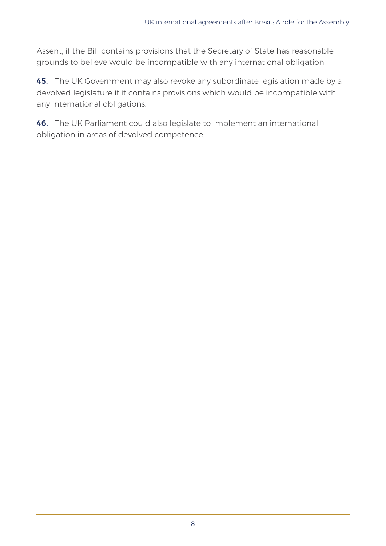Assent, if the Bill contains provisions that the Secretary of State has reasonable grounds to believe would be incompatible with any international obligation.

45. The UK Government may also revoke any subordinate legislation made by a devolved legislature if it contains provisions which would be incompatible with any international obligations.

46. The UK Parliament could also legislate to implement an international obligation in areas of devolved competence.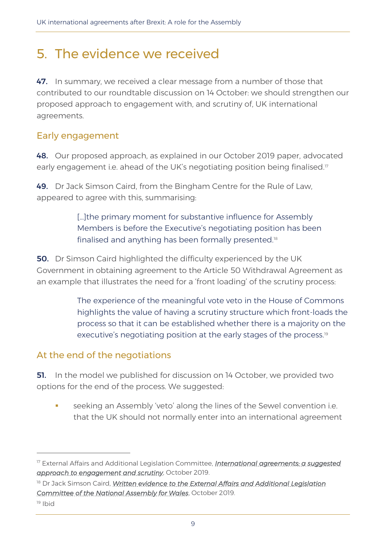# 5. The evidence we received

47. In summary, we received a clear message from a number of those that contributed to our roundtable discussion on 14 October: we should strengthen our proposed approach to engagement with, and scrutiny of, UK international agreements.

#### Early engagement

48. Our proposed approach, as explained in our October 2019 paper, advocated early engagement i.e. ahead of the UK's negotiating position being finalised.<sup>17</sup>

49. Dr Jack Simson Caird, from the Bingham Centre for the Rule of Law, appeared to agree with this, summarising:

> [...] the primary moment for substantive influence for Assembly Members is before the Executive's negotiating position has been finalised and anything has been formally presented.<sup>18</sup>

**50.** Dr Simson Caird highlighted the difficulty experienced by the UK Government in obtaining agreement to the Article 50 Withdrawal Agreement as an example that illustrates the need for a 'front loading' of the scrutiny process:

> The experience of the meaningful vote veto in the House of Commons highlights the value of having a scrutiny structure which front-loads the process so that it can be established whether there is a majority on the executive's negotiating position at the early stages of the process.<sup>19</sup>

#### At the end of the negotiations

**51.** In the model we published for discussion on 14 October, we provided two options for the end of the process. We suggested:

seeking an Assembly 'veto' along the lines of the Sewel convention i.e. that the UK should not normally enter into an international agreement

<sup>18</sup> Dr Jack Simson Caird, *Written evidence to the External Affairs and Additional Legislation [Committee of the National Assembly for Wales](http://senedd.assembly.wales/documents/s96330/Written%20evidence%20provided%20by%20Dr%20Jack%20Simson%20Caird.pdf)*, October 2019.

<sup>17</sup> External Affairs and Additional Legislation Committee, *[International agreements: a suggested](http://senedd.assembly.wales/documents/s94507/International%20agreements%20-%20a%20suggested%20approach%20to%20engagement%20and%20scrutiny.pdf)  [approach to engagement and scrutiny](http://senedd.assembly.wales/documents/s94507/International%20agreements%20-%20a%20suggested%20approach%20to%20engagement%20and%20scrutiny.pdf)*, October 2019.

<sup>19</sup> Ibid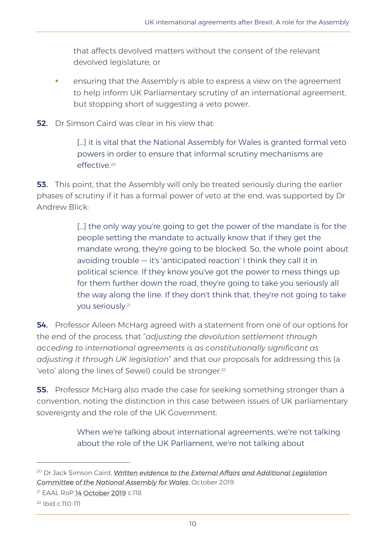that affects devolved matters without the consent of the relevant devolved legislature; or

- **EXEDENT** ensuring that the Assembly is able to express a view on the agreement to help inform UK Parliamentary scrutiny of an international agreement, but stopping short of suggesting a veto power.
- **52.** Dr Simson Caird was clear in his view that:

[...] it is vital that the National Assembly for Wales is granted formal veto powers in order to ensure that informal scrutiny mechanisms are effective.<sup>20</sup>

**53.** This point, that the Assembly will only be treated seriously during the earlier phases of scrutiny if it has a formal power of veto at the end, was supported by Dr Andrew Blick:

> [...] the only way you're going to get the power of the mandate is for the people setting the mandate to actually know that if they get the mandate wrong, they're going to be blocked. So, the whole point about avoiding trouble — it's 'anticipated reaction' I think they call it in political science. If they know you've got the power to mess things up for them further down the road, they're going to take you seriously all the way along the line. If they don't think that, they're not going to take you seriously. 21

54. Professor Aileen McHarg agreed with a statement from one of our options for the end of the process, that "*adjusting the devolution settlement through acceding to international agreements is as constitutionally significant as adjusting it through UK legislation*" and that our proposals for addressing this (a 'veto' along the lines of Sewel) could be stronger.<sup>22</sup>

**55.** Professor McHarg also made the case for seeking something stronger than a convention, noting the distinction in this case between issues of UK parliamentary sovereignty and the role of the UK Government:

> When we're talking about international agreements, we're not talking about the role of the UK Parliament, we're not talking about

<sup>&</sup>lt;sup>20</sup> Dr Jack Simson Caird, *Written evidence to the External Affairs and Additional Legislation [Committee of the National Assembly for Wales](http://senedd.assembly.wales/documents/s96330/Written%20evidence%20provided%20by%20Dr%20Jack%20Simson%20Caird.pdf)*, October 2019.

<sup>21</sup> EAAL RoP [14 October 2019](https://record.assembly.wales/Committee/5639) c.118

<sup>22</sup> Ibid c.110-111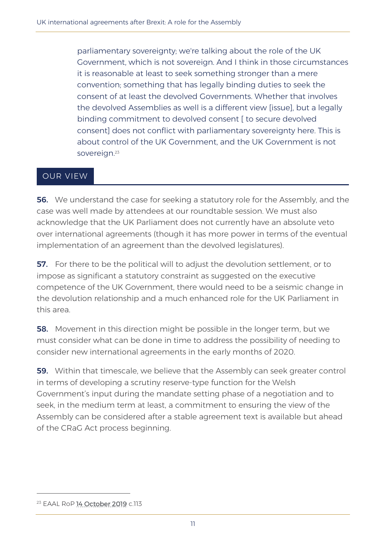parliamentary sovereignty; we're talking about the role of the UK Government, which is not sovereign. And I think in those circumstances it is reasonable at least to seek something stronger than a mere convention; something that has legally binding duties to seek the consent of at least the devolved Governments. Whether that involves the devolved Assemblies as well is a different view [issue], but a legally binding commitment to devolved consent [ to secure devolved consent] does not conflict with parliamentary sovereignty here. This is about control of the UK Government, and the UK Government is not sovereign.<sup>23</sup>

#### OUR VIEW

**56.** We understand the case for seeking a statutory role for the Assembly, and the case was well made by attendees at our roundtable session. We must also acknowledge that the UK Parliament does not currently have an absolute veto over international agreements (though it has more power in terms of the eventual implementation of an agreement than the devolved legislatures).

**57.** For there to be the political will to adjust the devolution settlement, or to impose as significant a statutory constraint as suggested on the executive competence of the UK Government, there would need to be a seismic change in the devolution relationship and a much enhanced role for the UK Parliament in this area.

**58.** Movement in this direction might be possible in the longer term, but we must consider what can be done in time to address the possibility of needing to consider new international agreements in the early months of 2020.

**59.** Within that timescale, we believe that the Assembly can seek greater control in terms of developing a scrutiny reserve-type function for the Welsh Government's input during the mandate setting phase of a negotiation and to seek, in the medium term at least, a commitment to ensuring the view of the Assembly can be considered after a stable agreement text is available but ahead of the CRaG Act process beginning.

<sup>23</sup> EAAL RoP [14 October 2019](https://record.assembly.wales/Committee/5639) c.113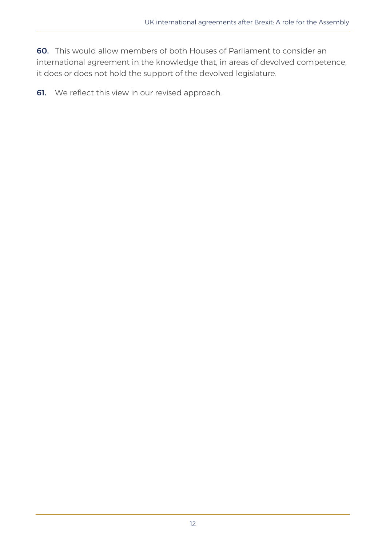60. This would allow members of both Houses of Parliament to consider an international agreement in the knowledge that, in areas of devolved competence, it does or does not hold the support of the devolved legislature.

**61.** We reflect this view in our revised approach.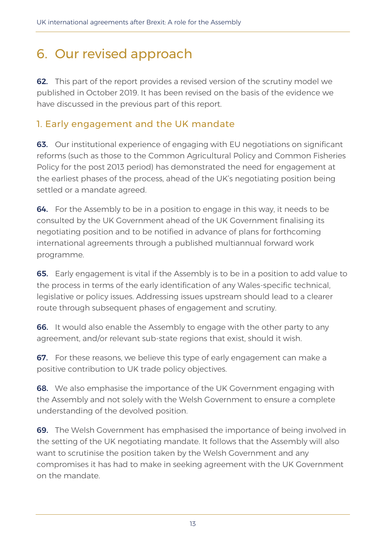# 6. Our revised approach

**62.** This part of the report provides a revised version of the scrutiny model we published in October 2019. It has been revised on the basis of the evidence we have discussed in the previous part of this report.

### 1. Early engagement and the UK mandate

**63.** Our institutional experience of engaging with EU negotiations on significant reforms (such as those to the Common Agricultural Policy and Common Fisheries Policy for the post 2013 period) has demonstrated the need for engagement at the earliest phases of the process, ahead of the UK's negotiating position being settled or a mandate agreed.

**64.** For the Assembly to be in a position to engage in this way, it needs to be consulted by the UK Government ahead of the UK Government finalising its negotiating position and to be notified in advance of plans for forthcoming international agreements through a published multiannual forward work programme.

65. Early engagement is vital if the Assembly is to be in a position to add value to the process in terms of the early identification of any Wales-specific technical, legislative or policy issues. Addressing issues upstream should lead to a clearer route through subsequent phases of engagement and scrutiny.

**66.** It would also enable the Assembly to engage with the other party to any agreement, and/or relevant sub-state regions that exist, should it wish.

**67.** For these reasons, we believe this type of early engagement can make a positive contribution to UK trade policy objectives.

**68.** We also emphasise the importance of the UK Government engaging with the Assembly and not solely with the Welsh Government to ensure a complete understanding of the devolved position.

69. The Welsh Government has emphasised the importance of being involved in the setting of the UK negotiating mandate. It follows that the Assembly will also want to scrutinise the position taken by the Welsh Government and any compromises it has had to make in seeking agreement with the UK Government on the mandate.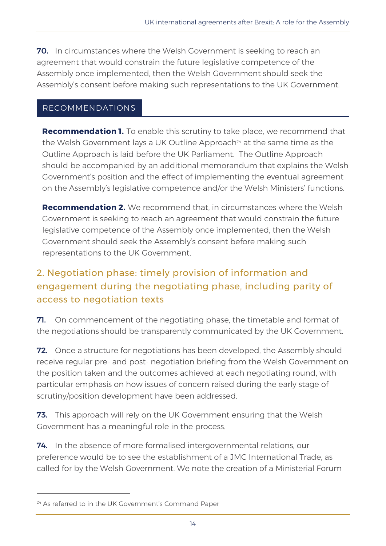**70.** In circumstances where the Welsh Government is seeking to reach an agreement that would constrain the future legislative competence of the Assembly once implemented, then the Welsh Government should seek the Assembly's consent before making such representations to the UK Government.

#### RECOMMENDATIONS

**Recommendation 1.** To enable this scrutiny to take place, we recommend that the Welsh Government lays a UK Outline Approach<sup>24</sup> at the same time as the Outline Approach is laid before the UK Parliament. The Outline Approach should be accompanied by an additional memorandum that explains the Welsh Government's position and the effect of implementing the eventual agreement on the Assembly's legislative competence and/or the Welsh Ministers' functions.

**Recommendation 2.** We recommend that, in circumstances where the Welsh Government is seeking to reach an agreement that would constrain the future legislative competence of the Assembly once implemented, then the Welsh Government should seek the Assembly's consent before making such representations to the UK Government.

## 2. Negotiation phase: timely provision of information and engagement during the negotiating phase, including parity of access to negotiation texts

**71.** On commencement of the negotiating phase, the timetable and format of the negotiations should be transparently communicated by the UK Government.

**72.** Once a structure for negotiations has been developed, the Assembly should receive regular pre- and post- negotiation briefing from the Welsh Government on the position taken and the outcomes achieved at each negotiating round, with particular emphasis on how issues of concern raised during the early stage of scrutiny/position development have been addressed.

73. This approach will rely on the UK Government ensuring that the Welsh Government has a meaningful role in the process.

74. In the absence of more formalised intergovernmental relations, our preference would be to see the establishment of a JMC International Trade, as called for by the Welsh Government. We note the creation of a Ministerial Forum

<sup>&</sup>lt;sup>24</sup> As referred to in the UK Government's Command Paper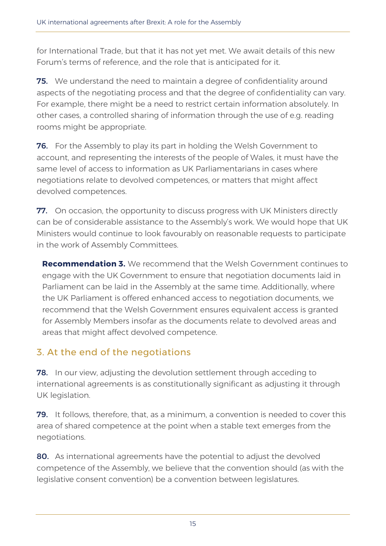for International Trade, but that it has not yet met. We await details of this new Forum's terms of reference, and the role that is anticipated for it.

**75.** We understand the need to maintain a degree of confidentiality around aspects of the negotiating process and that the degree of confidentiality can vary. For example, there might be a need to restrict certain information absolutely. In other cases, a controlled sharing of information through the use of e.g. reading rooms might be appropriate.

76. For the Assembly to play its part in holding the Welsh Government to account, and representing the interests of the people of Wales, it must have the same level of access to information as UK Parliamentarians in cases where negotiations relate to devolved competences, or matters that might affect devolved competences.

**77.** On occasion, the opportunity to discuss progress with UK Ministers directly can be of considerable assistance to the Assembly's work. We would hope that UK Ministers would continue to look favourably on reasonable requests to participate in the work of Assembly Committees.

**Recommendation 3.** We recommend that the Welsh Government continues to engage with the UK Government to ensure that negotiation documents laid in Parliament can be laid in the Assembly at the same time. Additionally, where the UK Parliament is offered enhanced access to negotiation documents, we recommend that the Welsh Government ensures equivalent access is granted for Assembly Members insofar as the documents relate to devolved areas and areas that might affect devolved competence.

### 3. At the end of the negotiations

**78.** In our view, adjusting the devolution settlement through acceding to international agreements is as constitutionally significant as adjusting it through UK legislation.

79. It follows, therefore, that, as a minimum, a convention is needed to cover this area of shared competence at the point when a stable text emerges from the negotiations.

80. As international agreements have the potential to adjust the devolved competence of the Assembly, we believe that the convention should (as with the legislative consent convention) be a convention between legislatures.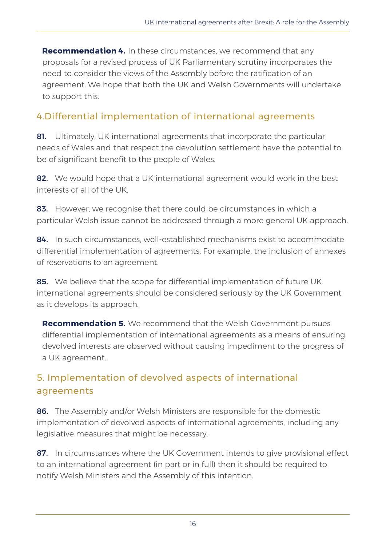**Recommendation 4.** In these circumstances, we recommend that any proposals for a revised process of UK Parliamentary scrutiny incorporates the need to consider the views of the Assembly before the ratification of an agreement. We hope that both the UK and Welsh Governments will undertake to support this.

### 4.Differential implementation of international agreements

81. Ultimately, UK international agreements that incorporate the particular needs of Wales and that respect the devolution settlement have the potential to be of significant benefit to the people of Wales.

82. We would hope that a UK international agreement would work in the best interests of all of the UK.

83. However, we recognise that there could be circumstances in which a particular Welsh issue cannot be addressed through a more general UK approach.

84. In such circumstances, well-established mechanisms exist to accommodate differential implementation of agreements. For example, the inclusion of annexes of reservations to an agreement.

85. We believe that the scope for differential implementation of future UK international agreements should be considered seriously by the UK Government as it develops its approach.

**Recommendation 5.** We recommend that the Welsh Government pursues differential implementation of international agreements as a means of ensuring devolved interests are observed without causing impediment to the progress of a UK agreement.

### 5. Implementation of devolved aspects of international agreements

86. The Assembly and/or Welsh Ministers are responsible for the domestic implementation of devolved aspects of international agreements, including any legislative measures that might be necessary.

87. In circumstances where the UK Government intends to give provisional effect to an international agreement (in part or in full) then it should be required to notify Welsh Ministers and the Assembly of this intention.